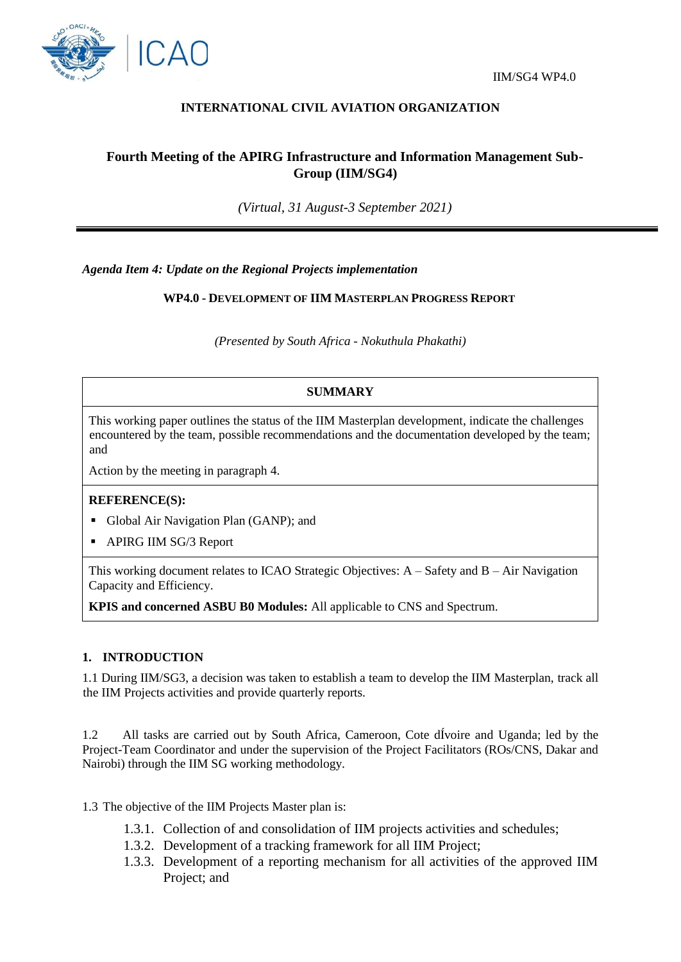

## **INTERNATIONAL CIVIL AVIATION ORGANIZATION**

# **Fourth Meeting of the APIRG Infrastructure and Information Management Sub-Group (IIM/SG4)**

*(Virtual, 31 August-3 September 2021)*

*Agenda Item 4: Update on the Regional Projects implementation*

**WP4.0 - DEVELOPMENT OF IIM MASTERPLAN PROGRESS REPORT**

*(Presented by South Africa - Nokuthula Phakathi)*

## **SUMMARY**

This working paper outlines the status of the IIM Masterplan development, indicate the challenges encountered by the team, possible recommendations and the documentation developed by the team; and

Action by the meeting in paragraph 4.

#### **REFERENCE(S):**

- Global Air Navigation Plan (GANP); and
- APIRG IIM SG/3 Report

This working document relates to ICAO Strategic Objectives:  $A - S$ afety and  $B - Air$  Navigation Capacity and Efficiency.

**KPIS and concerned ASBU B0 Modules:** All applicable to CNS and Spectrum.

#### **1. INTRODUCTION**

1.1 During IIM/SG3, a decision was taken to establish a team to develop the IIM Masterplan, track all the IIM Projects activities and provide quarterly reports.

1.2 All tasks are carried out by South Africa, Cameroon, Cote dÍvoire and Uganda; led by the Project-Team Coordinator and under the supervision of the Project Facilitators (ROs/CNS, Dakar and Nairobi) through the IIM SG working methodology.

1.3 The objective of the IIM Projects Master plan is:

- 1.3.1. Collection of and consolidation of IIM projects activities and schedules;
- 1.3.2. Development of a tracking framework for all IIM Project;
- 1.3.3. Development of a reporting mechanism for all activities of the approved IIM Project; and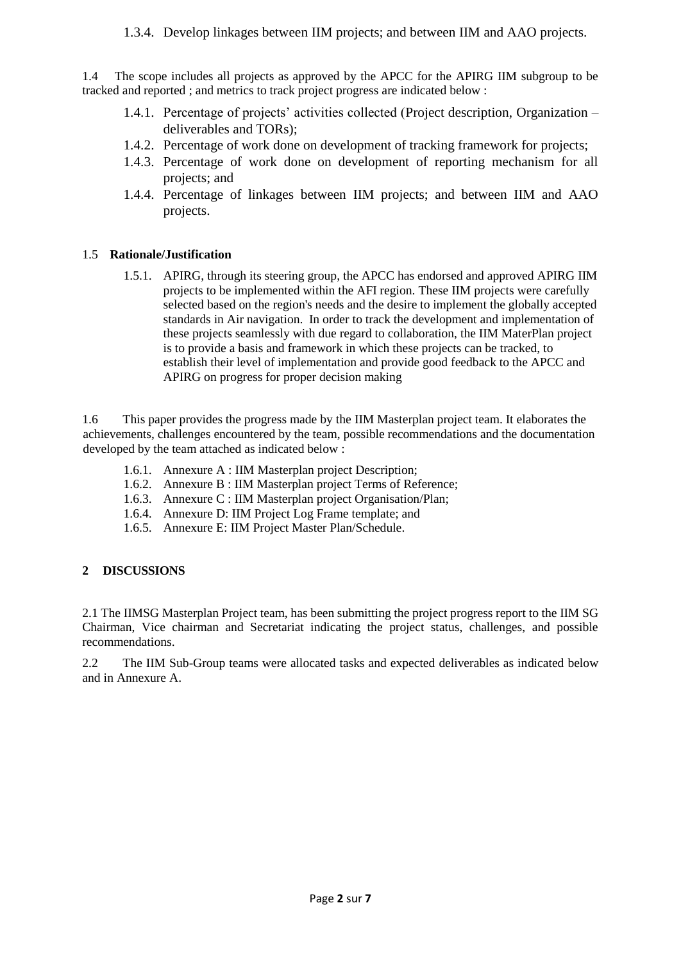1.3.4. Develop linkages between IIM projects; and between IIM and AAO projects.

1.4 The scope includes all projects as approved by the APCC for the APIRG IIM subgroup to be tracked and reported ; and metrics to track project progress are indicated below :

- 1.4.1. Percentage of projects' activities collected (Project description, Organization deliverables and TORs);
- 1.4.2. Percentage of work done on development of tracking framework for projects;
- 1.4.3. Percentage of work done on development of reporting mechanism for all projects; and
- 1.4.4. Percentage of linkages between IIM projects; and between IIM and AAO projects.

# 1.5 **Rationale/Justification**

1.5.1. APIRG, through its steering group, the APCC has endorsed and approved APIRG IIM projects to be implemented within the AFI region. These IIM projects were carefully selected based on the region's needs and the desire to implement the globally accepted standards in Air navigation. In order to track the development and implementation of these projects seamlessly with due regard to collaboration, the IIM MaterPlan project is to provide a basis and framework in which these projects can be tracked, to establish their level of implementation and provide good feedback to the APCC and APIRG on progress for proper decision making

1.6 This paper provides the progress made by the IIM Masterplan project team. It elaborates the achievements, challenges encountered by the team, possible recommendations and the documentation developed by the team attached as indicated below :

- 1.6.1. Annexure A : IIM Masterplan project Description;
- 1.6.2. Annexure B : IIM Masterplan project Terms of Reference;
- 1.6.3. Annexure C : IIM Masterplan project Organisation/Plan;
- 1.6.4. Annexure D: IIM Project Log Frame template; and
- 1.6.5. Annexure E: IIM Project Master Plan/Schedule.

# **2 DISCUSSIONS**

2.1 The IIMSG Masterplan Project team, has been submitting the project progress report to the IIM SG Chairman, Vice chairman and Secretariat indicating the project status, challenges, and possible recommendations.

2.2 The IIM Sub-Group teams were allocated tasks and expected deliverables as indicated below and in Annexure A.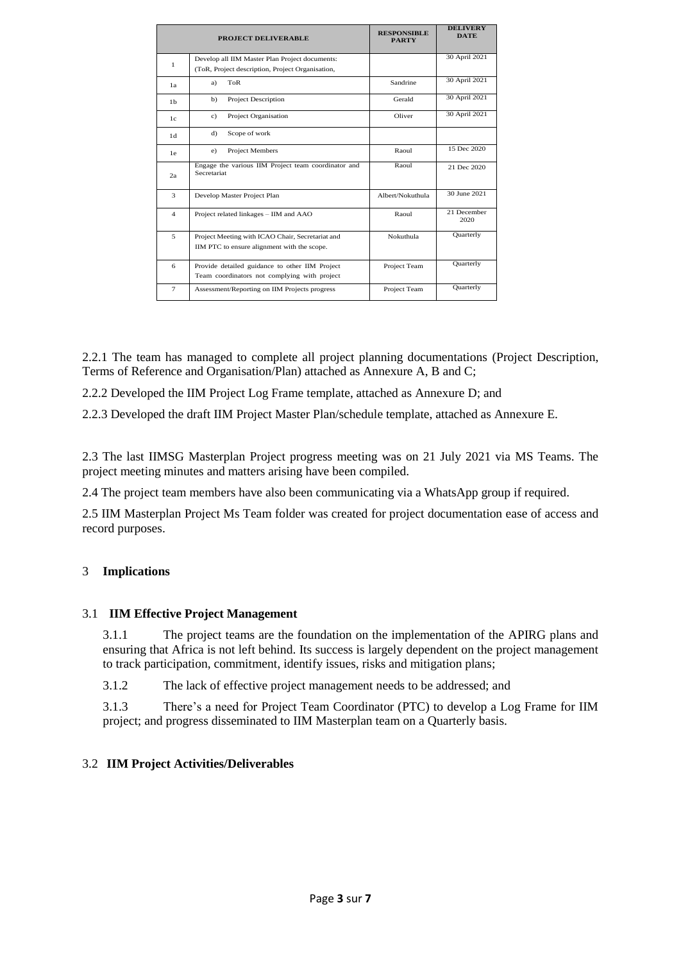|                | PROJECT DELIVERABLE                                                | <b>RESPONSIBLE</b><br><b>PARTY</b> | <b>DELIVERY</b><br><b>DATE</b> |
|----------------|--------------------------------------------------------------------|------------------------------------|--------------------------------|
| $\mathbf{1}$   | Develop all IIM Master Plan Project documents:                     |                                    | 30 April 2021                  |
|                | (ToR, Project description, Project Organisation,                   |                                    |                                |
| 1a             | ToR<br>a)                                                          | Sandrine                           | 30 April 2021                  |
| 1 <sub>b</sub> | <b>Project Description</b><br>b)                                   | Gerald                             | 30 April 2021                  |
| 1c             | Project Organisation<br>$\mathbf{c}$ )                             | Oliver                             | 30 April 2021                  |
| 1d             | Scope of work<br>d)                                                |                                    |                                |
| 1e             | <b>Project Members</b><br>e)                                       | Raoul                              | 15 Dec 2020                    |
| 2a             | Engage the various IIM Project team coordinator and<br>Secretariat | Raoul                              | 21 Dec 2020                    |
| 3              | Develop Master Project Plan                                        | Albert/Nokuthula                   | 30 June 2021                   |
| $\overline{4}$ | Project related linkages - IIM and AAO                             | Raoul                              | 21 December<br>2020            |
| 5              | Project Meeting with ICAO Chair, Secretariat and                   | Nokuthula                          | Quarterly                      |
|                | IIM PTC to ensure alignment with the scope.                        |                                    |                                |
| 6              | Provide detailed guidance to other IIM Project                     | Project Team                       | Quarterly                      |
|                | Team coordinators not complying with project                       |                                    |                                |
| $\tau$         | Assessment/Reporting on IIM Projects progress                      | Project Team                       | Quarterly                      |

2.2.1 The team has managed to complete all project planning documentations (Project Description, Terms of Reference and Organisation/Plan) attached as Annexure A, B and C;

2.2.2 Developed the IIM Project Log Frame template, attached as Annexure D; and

2.2.3 Developed the draft IIM Project Master Plan/schedule template, attached as Annexure E.

2.3 The last IIMSG Masterplan Project progress meeting was on 21 July 2021 via MS Teams. The project meeting minutes and matters arising have been compiled.

2.4 The project team members have also been communicating via a WhatsApp group if required.

2.5 IIM Masterplan Project Ms Team folder was created for project documentation ease of access and record purposes.

## 3 **Implications**

#### 3.1 **IIM Effective Project Management**

3.1.1 The project teams are the foundation on the implementation of the APIRG plans and ensuring that Africa is not left behind. Its success is largely dependent on the project management to track participation, commitment, identify issues, risks and mitigation plans;

3.1.2 The lack of effective project management needs to be addressed; and

3.1.3 There's a need for Project Team Coordinator (PTC) to develop a Log Frame for IIM project; and progress disseminated to IIM Masterplan team on a Quarterly basis.

## 3.2 **IIM Project Activities/Deliverables**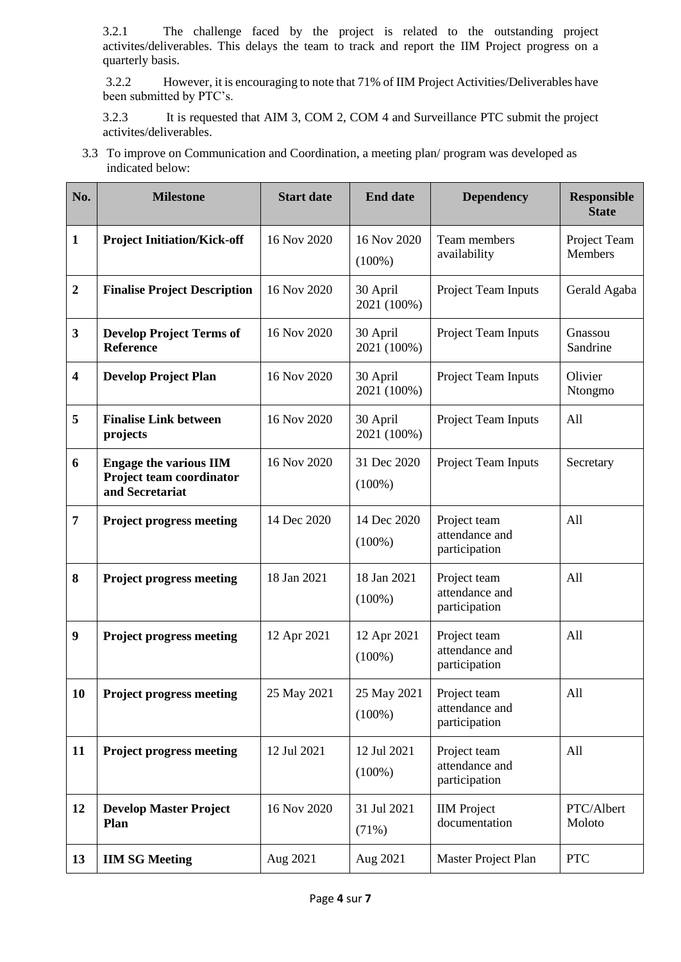3.2.1 The challenge faced by the project is related to the outstanding project activites/deliverables. This delays the team to track and report the IIM Project progress on a quarterly basis.

3.2.2 However, it is encouraging to note that 71% of IIM Project Activities/Deliverables have been submitted by PTC's.

3.2.3 It is requested that AIM 3, COM 2, COM 4 and Surveillance PTC submit the project activites/deliverables.

3.3 To improve on Communication and Coordination, a meeting plan/ program was developed as indicated below:

| No.                     | <b>Milestone</b>                                                             | <b>Start date</b> | <b>End date</b>          | <b>Dependency</b>                               | <b>Responsible</b><br><b>State</b> |
|-------------------------|------------------------------------------------------------------------------|-------------------|--------------------------|-------------------------------------------------|------------------------------------|
| $\mathbf{1}$            | <b>Project Initiation/Kick-off</b>                                           | 16 Nov 2020       | 16 Nov 2020<br>$(100\%)$ | Team members<br>availability                    | Project Team<br>Members            |
| $\boldsymbol{2}$        | <b>Finalise Project Description</b>                                          | 16 Nov 2020       | 30 April<br>2021 (100%)  | Project Team Inputs                             | Gerald Agaba                       |
| $\mathbf{3}$            | <b>Develop Project Terms of</b><br>Reference                                 | 16 Nov 2020       | 30 April<br>2021 (100%)  | Project Team Inputs                             | Gnassou<br>Sandrine                |
| $\overline{\mathbf{4}}$ | <b>Develop Project Plan</b>                                                  | 16 Nov 2020       | 30 April<br>2021 (100%)  | Project Team Inputs                             | Olivier<br>Ntongmo                 |
| 5                       | <b>Finalise Link between</b><br>projects                                     | 16 Nov 2020       | 30 April<br>2021 (100%)  | Project Team Inputs                             | All                                |
| 6                       | <b>Engage the various IIM</b><br>Project team coordinator<br>and Secretariat | 16 Nov 2020       | 31 Dec 2020<br>$(100\%)$ | Project Team Inputs                             | Secretary                          |
| 7                       | <b>Project progress meeting</b>                                              | 14 Dec 2020       | 14 Dec 2020<br>$(100\%)$ | Project team<br>attendance and<br>participation | All                                |
| 8                       | <b>Project progress meeting</b>                                              | 18 Jan 2021       | 18 Jan 2021<br>$(100\%)$ | Project team<br>attendance and<br>participation | All                                |
| $\boldsymbol{9}$        | <b>Project progress meeting</b>                                              | 12 Apr 2021       | 12 Apr 2021<br>$(100\%)$ | Project team<br>attendance and<br>participation | All                                |
| 10                      | <b>Project progress meeting</b>                                              | 25 May 2021       | 25 May 2021<br>$(100\%)$ | Project team<br>attendance and<br>participation | All                                |
| 11                      | <b>Project progress meeting</b>                                              | 12 Jul 2021       | 12 Jul 2021<br>$(100\%)$ | Project team<br>attendance and<br>participation | All                                |
| 12                      | <b>Develop Master Project</b><br>Plan                                        | 16 Nov 2020       | 31 Jul 2021<br>(71%)     | <b>IIM</b> Project<br>documentation             | PTC/Albert<br>Moloto               |
| 13                      | <b>IIM SG Meeting</b>                                                        | Aug 2021          | Aug 2021                 | Master Project Plan                             | <b>PTC</b>                         |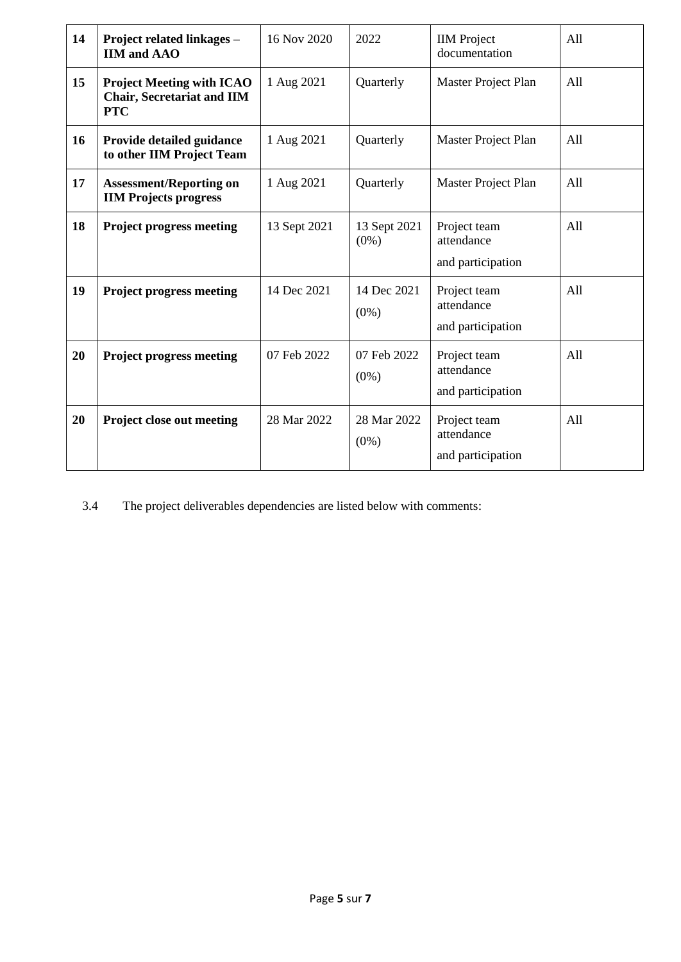| 14 | Project related linkages -<br><b>IIM and AAO</b>                                    | 16 Nov 2020  | 2022                    | <b>IIM</b> Project<br>documentation             | All |
|----|-------------------------------------------------------------------------------------|--------------|-------------------------|-------------------------------------------------|-----|
| 15 | <b>Project Meeting with ICAO</b><br><b>Chair, Secretariat and IIM</b><br><b>PTC</b> | 1 Aug 2021   | Quarterly               | Master Project Plan                             | All |
| 16 | Provide detailed guidance<br>to other IIM Project Team                              | 1 Aug 2021   | Quarterly               | Master Project Plan                             | All |
| 17 | <b>Assessment/Reporting on</b><br><b>IIM Projects progress</b>                      | 1 Aug 2021   | Quarterly               | Master Project Plan                             | All |
| 18 | <b>Project progress meeting</b>                                                     | 13 Sept 2021 | 13 Sept 2021<br>$(0\%)$ | Project team<br>attendance<br>and participation | A11 |
| 19 | <b>Project progress meeting</b>                                                     | 14 Dec 2021  | 14 Dec 2021<br>$(0\%)$  | Project team<br>attendance<br>and participation | A11 |
| 20 | <b>Project progress meeting</b>                                                     | 07 Feb 2022  | 07 Feb 2022<br>$(0\%)$  | Project team<br>attendance<br>and participation | All |
| 20 | Project close out meeting                                                           | 28 Mar 2022  | 28 Mar 2022<br>$(0\%)$  | Project team<br>attendance<br>and participation | All |

3.4 The project deliverables dependencies are listed below with comments: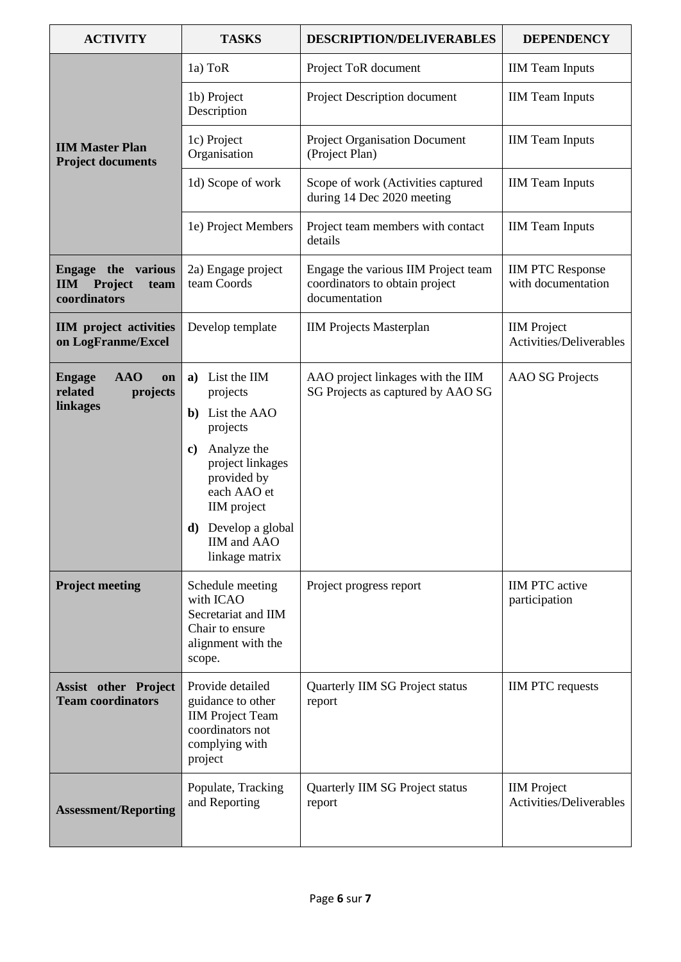| <b>ACTIVITY</b>                                                            | <b>TASKS</b>                                                                                                                                                                                                                | <b>DESCRIPTION/DELIVERABLES</b>                                                        | <b>DEPENDENCY</b>                             |
|----------------------------------------------------------------------------|-----------------------------------------------------------------------------------------------------------------------------------------------------------------------------------------------------------------------------|----------------------------------------------------------------------------------------|-----------------------------------------------|
|                                                                            | 1a) ToR                                                                                                                                                                                                                     | Project ToR document                                                                   | <b>IIM Team Inputs</b>                        |
|                                                                            | 1b) Project<br>Description                                                                                                                                                                                                  | Project Description document                                                           | <b>IIM</b> Team Inputs                        |
| <b>IIM Master Plan</b><br><b>Project documents</b>                         | 1c) Project<br>Organisation                                                                                                                                                                                                 | <b>Project Organisation Document</b><br>(Project Plan)                                 | <b>IIM Team Inputs</b>                        |
|                                                                            | 1d) Scope of work                                                                                                                                                                                                           | Scope of work (Activities captured<br>during 14 Dec 2020 meeting                       | <b>IIM Team Inputs</b>                        |
|                                                                            | 1e) Project Members                                                                                                                                                                                                         | Project team members with contact<br>details                                           | <b>IIM</b> Team Inputs                        |
| <b>Engage the various</b><br>Project<br><b>IIM</b><br>team<br>coordinators | 2a) Engage project<br>team Coords                                                                                                                                                                                           | Engage the various IIM Project team<br>coordinators to obtain project<br>documentation | <b>IIM PTC Response</b><br>with documentation |
| <b>IIM</b> project activities<br>on LogFranme/Excel                        | Develop template                                                                                                                                                                                                            | <b>IIM Projects Masterplan</b>                                                         | <b>IIM</b> Project<br>Activities/Deliverables |
| <b>AAO</b><br><b>Engage</b><br>on<br>related<br>projects<br>linkages       | List the IIM<br>a)<br>projects<br>List the AAO<br>b)<br>projects<br>Analyze the<br>$\mathbf{c}$<br>project linkages<br>provided by<br>each AAO et<br>IIM project<br>Develop a global<br>d)<br>IIM and AAO<br>linkage matrix | AAO project linkages with the IIM<br>SG Projects as captured by AAO SG                 | AAO SG Projects                               |
| <b>Project meeting</b>                                                     | Schedule meeting<br>with ICAO<br>Secretariat and IIM<br>Chair to ensure<br>alignment with the<br>scope.                                                                                                                     | Project progress report                                                                | <b>IIM PTC</b> active<br>participation        |
| <b>Assist other Project</b><br><b>Team coordinators</b>                    | Provide detailed<br>guidance to other<br><b>IIM</b> Project Team<br>coordinators not<br>complying with<br>project                                                                                                           | Quarterly IIM SG Project status<br>report                                              | <b>IIM PTC</b> requests                       |
| <b>Assessment/Reporting</b>                                                | Populate, Tracking<br>and Reporting                                                                                                                                                                                         | Quarterly IIM SG Project status<br>report                                              | <b>IIM</b> Project<br>Activities/Deliverables |